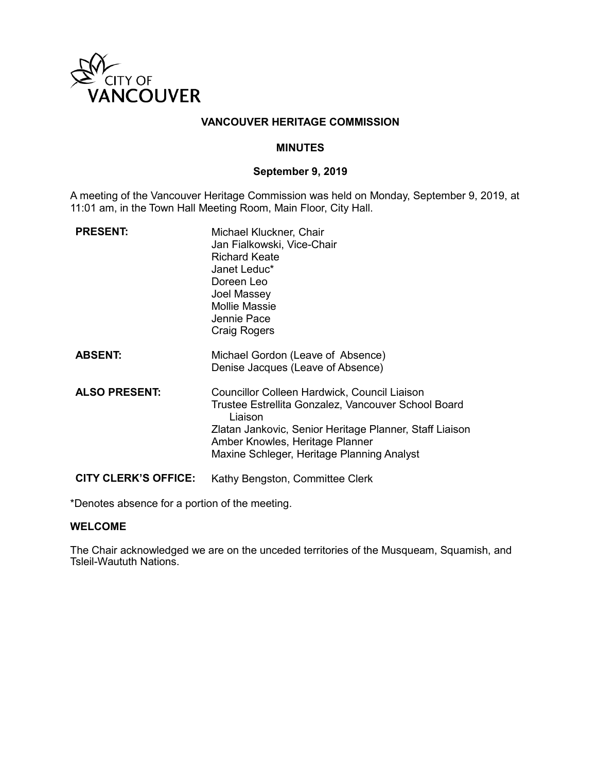

### **VANCOUVER HERITAGE COMMISSION**

#### **MINUTES**

#### **September 9, 2019**

A meeting of the Vancouver Heritage Commission was held on Monday, September 9, 2019, at 11:01 am, in the Town Hall Meeting Room, Main Floor, City Hall.

| <b>PRESENT:</b>             | Michael Kluckner, Chair<br>Jan Fialkowski, Vice-Chair<br><b>Richard Keate</b><br>Janet Leduc*<br>Doreen Leo<br>Joel Massey<br><b>Mollie Massie</b><br>Jennie Pace<br>Craig Rogers                                                                          |
|-----------------------------|------------------------------------------------------------------------------------------------------------------------------------------------------------------------------------------------------------------------------------------------------------|
| <b>ABSENT:</b>              | Michael Gordon (Leave of Absence)<br>Denise Jacques (Leave of Absence)                                                                                                                                                                                     |
| <b>ALSO PRESENT:</b>        | Councillor Colleen Hardwick, Council Liaison<br>Trustee Estrellita Gonzalez, Vancouver School Board<br>Liaison<br>Zlatan Jankovic, Senior Heritage Planner, Staff Liaison<br>Amber Knowles, Heritage Planner<br>Maxine Schleger, Heritage Planning Analyst |
| <b>CITY CLERK'S OFFICE:</b> | Kathy Bengston, Committee Clerk                                                                                                                                                                                                                            |

\*Denotes absence for a portion of the meeting.

#### **WELCOME**

The Chair acknowledged we are on the unceded territories of the Musqueam, Squamish, and Tsleil-Waututh Nations.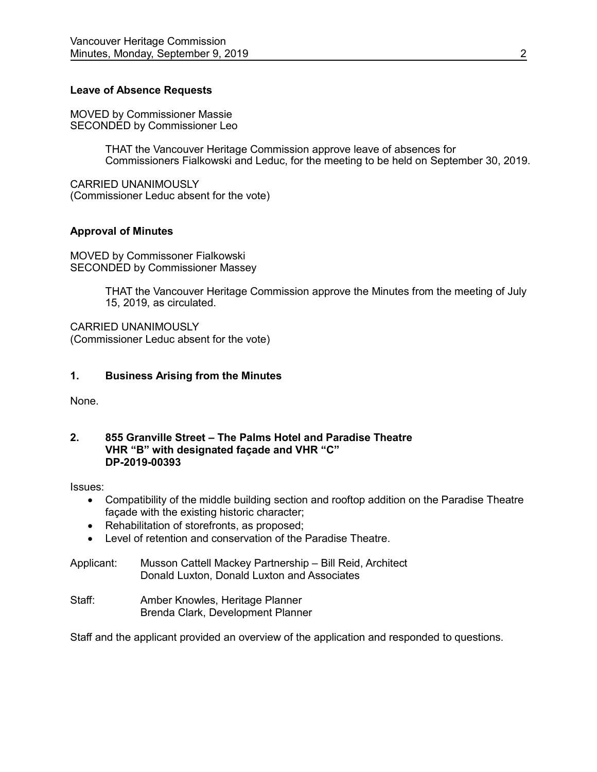### **Leave of Absence Requests**

MOVED by Commissioner Massie SECONDED by Commissioner Leo

> THAT the Vancouver Heritage Commission approve leave of absences for Commissioners Fialkowski and Leduc, for the meeting to be held on September 30, 2019.

CARRIED UNANIMOUSLY (Commissioner Leduc absent for the vote)

### **Approval of Minutes**

MOVED by Commissoner Fialkowski SECONDED by Commissioner Massey

> THAT the Vancouver Heritage Commission approve the Minutes from the meeting of July 15, 2019, as circulated.

CARRIED UNANIMOUSLY (Commissioner Leduc absent for the vote)

### **1. Business Arising from the Minutes**

None.

#### **2. 855 Granville Street – The Palms Hotel and Paradise Theatre VHR "B" with designated façade and VHR "C" DP-2019-00393**

Issues:

- Compatibility of the middle building section and rooftop addition on the Paradise Theatre façade with the existing historic character;
- Rehabilitation of storefronts, as proposed;
- Level of retention and conservation of the Paradise Theatre.
- Applicant: Musson Cattell Mackey Partnership Bill Reid, Architect Donald Luxton, Donald Luxton and Associates
- Staff: Amber Knowles, Heritage Planner Brenda Clark, Development Planner

Staff and the applicant provided an overview of the application and responded to questions.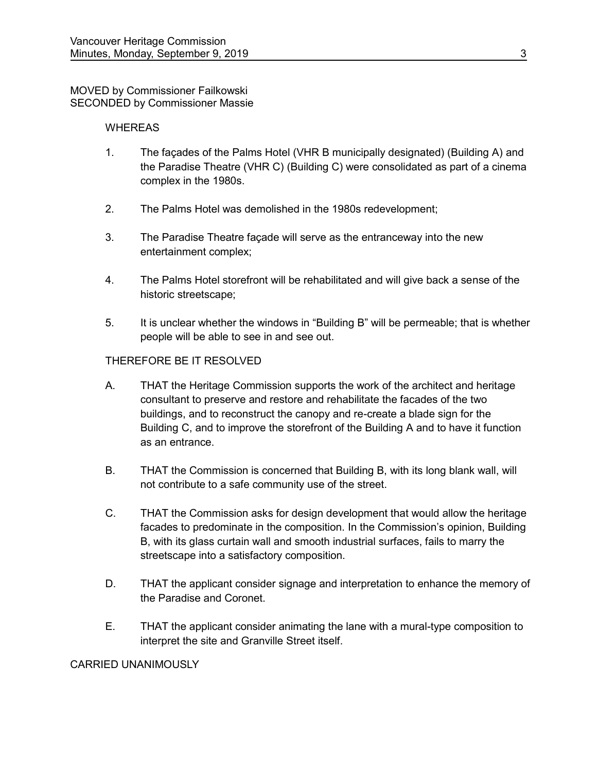#### MOVED by Commissioner Failkowski SECONDED by Commissioner Massie

### **WHEREAS**

- 1. The façades of the Palms Hotel (VHR B municipally designated) (Building A) and the Paradise Theatre (VHR C) (Building C) were consolidated as part of a cinema complex in the 1980s.
- 2. The Palms Hotel was demolished in the 1980s redevelopment;
- 3. The Paradise Theatre façade will serve as the entranceway into the new entertainment complex;
- 4. The Palms Hotel storefront will be rehabilitated and will give back a sense of the historic streetscape;
- 5. It is unclear whether the windows in "Building B" will be permeable; that is whether people will be able to see in and see out.

## THEREFORE BE IT RESOLVED

- A. THAT the Heritage Commission supports the work of the architect and heritage consultant to preserve and restore and rehabilitate the facades of the two buildings, and to reconstruct the canopy and re-create a blade sign for the Building C, and to improve the storefront of the Building A and to have it function as an entrance.
- B. THAT the Commission is concerned that Building B, with its long blank wall, will not contribute to a safe community use of the street.
- C. THAT the Commission asks for design development that would allow the heritage facades to predominate in the composition. In the Commission's opinion, Building B, with its glass curtain wall and smooth industrial surfaces, fails to marry the streetscape into a satisfactory composition.
- D. THAT the applicant consider signage and interpretation to enhance the memory of the Paradise and Coronet.
- E. THAT the applicant consider animating the lane with a mural-type composition to interpret the site and Granville Street itself.

#### CARRIED UNANIMOUSLY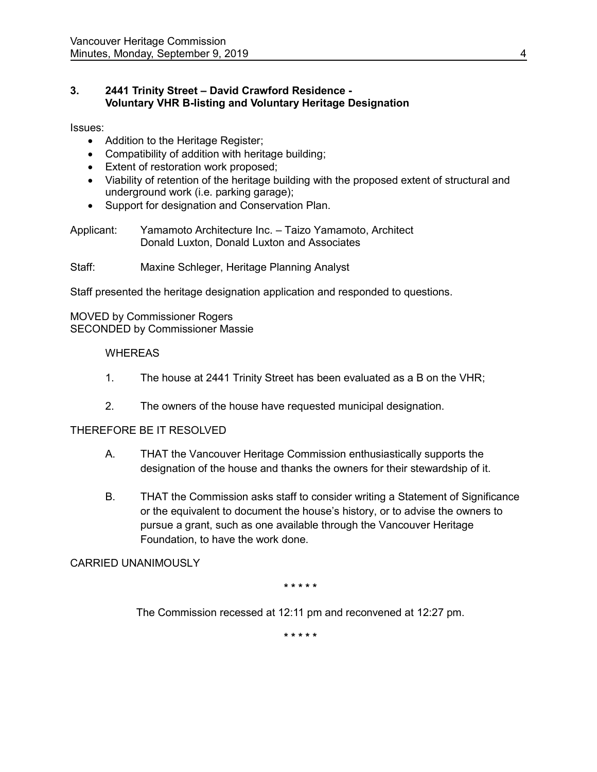## **3. 2441 Trinity Street – David Crawford Residence - Voluntary VHR B-listing and Voluntary Heritage Designation**

Issues:

- Addition to the Heritage Register;
- Compatibility of addition with heritage building;
- Extent of restoration work proposed;
- Viability of retention of the heritage building with the proposed extent of structural and underground work (i.e. parking garage);
- Support for designation and Conservation Plan.

Applicant: Yamamoto Architecture Inc. – Taizo Yamamoto, Architect Donald Luxton, Donald Luxton and Associates

Staff: Maxine Schleger, Heritage Planning Analyst

Staff presented the heritage designation application and responded to questions.

MOVED by Commissioner Rogers SECONDED by Commissioner Massie

## WHEREAS

- 1. The house at 2441 Trinity Street has been evaluated as a B on the VHR;
- 2. The owners of the house have requested municipal designation.

## THEREFORE BE IT RESOLVED

- A. THAT the Vancouver Heritage Commission enthusiastically supports the designation of the house and thanks the owners for their stewardship of it.
- B. THAT the Commission asks staff to consider writing a Statement of Significance or the equivalent to document the house's history, or to advise the owners to pursue a grant, such as one available through the Vancouver Heritage Foundation, to have the work done.

## CARRIED UNANIMOUSLY

**\* \* \* \* \***

The Commission recessed at 12:11 pm and reconvened at 12:27 pm.

**\* \* \* \* \***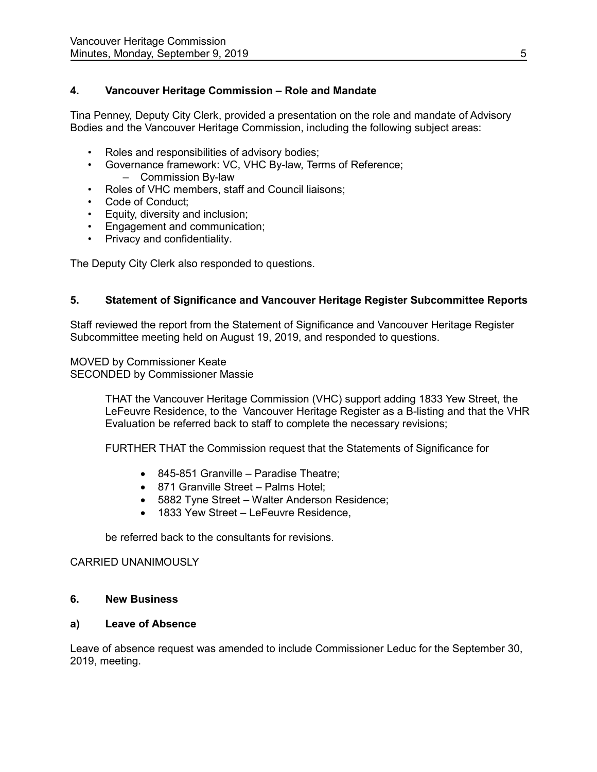# **4. Vancouver Heritage Commission – Role and Mandate**

Tina Penney, Deputy City Clerk, provided a presentation on the role and mandate of Advisory Bodies and the Vancouver Heritage Commission, including the following subject areas:

- Roles and responsibilities of advisory bodies;
- Governance framework: VC, VHC By-law, Terms of Reference; – Commission By-law
- Roles of VHC members, staff and Council liaisons;
- Code of Conduct;
- Equity, diversity and inclusion;
- Engagement and communication;
- Privacy and confidentiality.

The Deputy City Clerk also responded to questions.

## **5. Statement of Significance and Vancouver Heritage Register Subcommittee Reports**

Staff reviewed the report from the Statement of Significance and Vancouver Heritage Register Subcommittee meeting held on August 19, 2019, and responded to questions.

MOVED by Commissioner Keate SECONDED by Commissioner Massie

> THAT the Vancouver Heritage Commission (VHC) support adding 1833 Yew Street, the LeFeuvre Residence, to the Vancouver Heritage Register as a B-listing and that the VHR Evaluation be referred back to staff to complete the necessary revisions;

FURTHER THAT the Commission request that the Statements of Significance for

- 845-851 Granville Paradise Theatre;
- 871 Granville Street Palms Hotel;
- 5882 Tyne Street Walter Anderson Residence;
- 1833 Yew Street LeFeuvre Residence,

be referred back to the consultants for revisions.

#### CARRIED UNANIMOUSLY

#### **6. New Business**

#### **a) Leave of Absence**

Leave of absence request was amended to include Commissioner Leduc for the September 30, 2019, meeting.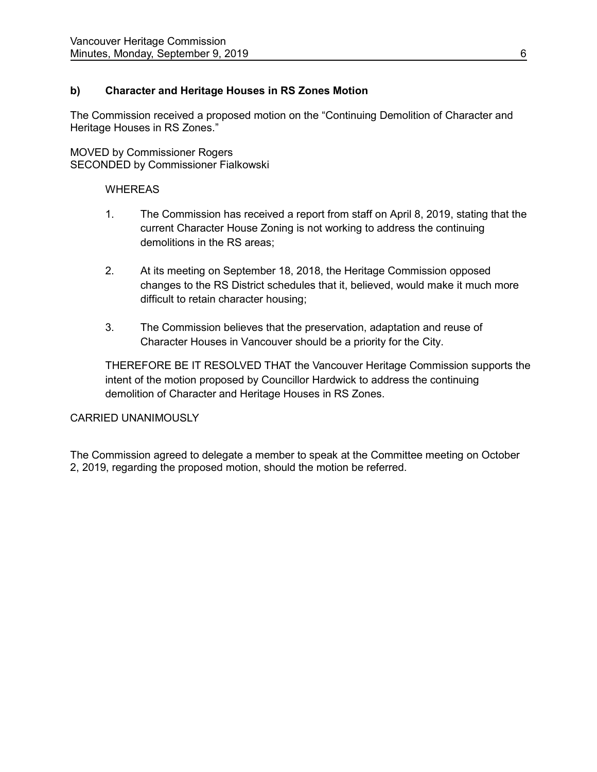# **b) Character and Heritage Houses in RS Zones Motion**

The Commission received a proposed motion on the "Continuing Demolition of Character and Heritage Houses in RS Zones."

MOVED by Commissioner Rogers SECONDED by Commissioner Fialkowski

### **WHEREAS**

- 1. The Commission has received a report from staff on April 8, 2019, stating that the current Character House Zoning is not working to address the continuing demolitions in the RS areas;
- 2. At its meeting on September 18, 2018, the Heritage Commission opposed changes to the RS District schedules that it, believed, would make it much more difficult to retain character housing;
- 3. The Commission believes that the preservation, adaptation and reuse of Character Houses in Vancouver should be a priority for the City.

THEREFORE BE IT RESOLVED THAT the Vancouver Heritage Commission supports the intent of the motion proposed by Councillor Hardwick to address the continuing demolition of Character and Heritage Houses in RS Zones.

## CARRIED UNANIMOUSLY

The Commission agreed to delegate a member to speak at the Committee meeting on October 2, 2019, regarding the proposed motion, should the motion be referred.